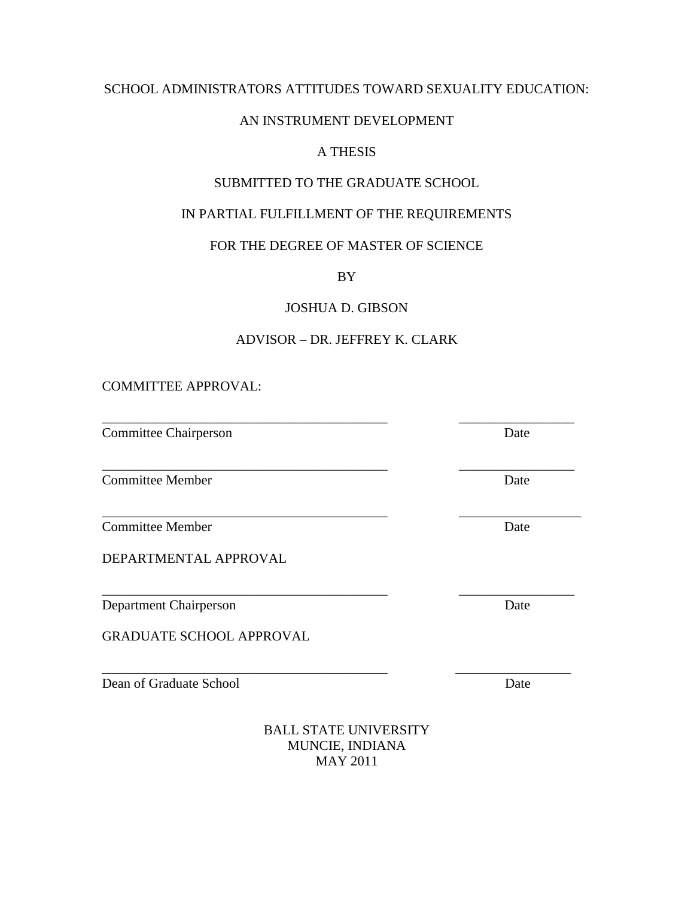#### SCHOOL ADMINISTRATORS ATTITUDES TOWARD SEXUALITY EDUCATION:

#### AN INSTRUMENT DEVELOPMENT

# A THESIS

## SUBMITTED TO THE GRADUATE SCHOOL

## IN PARTIAL FULFILLMENT OF THE REQUIREMENTS

#### FOR THE DEGREE OF MASTER OF SCIENCE

BY

JOSHUA D. GIBSON

## ADVISOR – DR. JEFFREY K. CLARK

\_\_\_\_\_\_\_\_\_\_\_\_\_\_\_\_\_\_\_\_\_\_\_\_\_\_\_\_\_\_\_\_\_\_\_\_\_\_\_\_\_\_ \_\_\_\_\_\_\_\_\_\_\_\_\_\_\_\_\_

\_\_\_\_\_\_\_\_\_\_\_\_\_\_\_\_\_\_\_\_\_\_\_\_\_\_\_\_\_\_\_\_\_\_\_\_\_\_\_\_\_\_ \_\_\_\_\_\_\_\_\_\_\_\_\_\_\_\_\_\_

\_\_\_\_\_\_\_\_\_\_\_\_\_\_\_\_\_\_\_\_\_\_\_\_\_\_\_\_\_\_\_\_\_\_\_\_\_\_\_\_\_\_ \_\_\_\_\_\_\_\_\_\_\_\_\_\_\_\_\_

\_\_\_\_\_\_\_\_\_\_\_\_\_\_\_\_\_\_\_\_\_\_\_\_\_\_\_\_\_\_\_\_\_\_\_\_\_\_\_\_\_\_ \_\_\_\_\_\_\_\_\_\_\_\_\_\_\_\_\_

COMMITTEE APPROVAL:

Committee Chairperson Date

**Committee Member Date** 

**Committee Member Date** 

DEPARTMENTAL APPROVAL

Department Chairperson Date

GRADUATE SCHOOL APPROVAL

Dean of Graduate School Date

BALL STATE UNIVERSITY MUNCIE, INDIANA MAY 2011

\_\_\_\_\_\_\_\_\_\_\_\_\_\_\_\_\_\_\_\_\_\_\_\_\_\_\_\_\_\_\_\_\_\_\_\_\_\_\_\_\_\_ \_\_\_\_\_\_\_\_\_\_\_\_\_\_\_\_\_